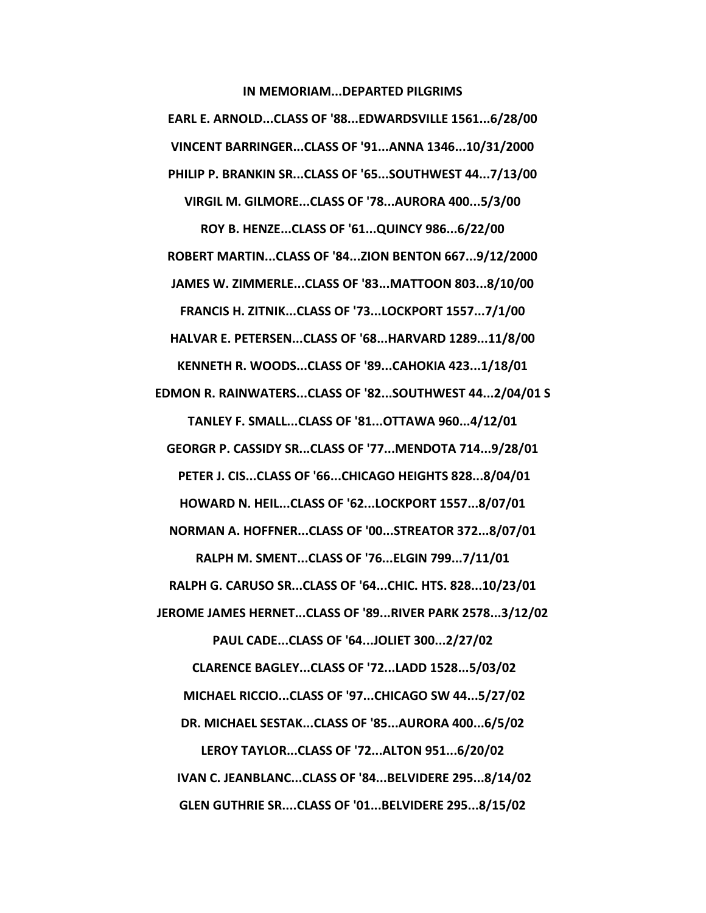**IN MEMORIAM...DEPARTED PILGRIMS** 

**EARL E. ARNOLD...CLASS OF '88...EDWARDSVILLE 1561...6/28/00 VINCENT BARRINGER...CLASS OF '91...ANNA 1346...10/31/2000 PHILIP P. BRANKIN SR...CLASS OF '65...SOUTHWEST 44...7/13/00 VIRGIL M. GILMORE...CLASS OF '78...AURORA 400...5/3/00 ROY B. HENZE...CLASS OF '61...QUINCY 986...6/22/00 ROBERT MARTIN...CLASS OF '84...ZION BENTON 667...9/12/2000 JAMES W. ZIMMERLE...CLASS OF '83...MATTOON 803...8/10/00 FRANCIS H. ZITNIK...CLASS OF '73...LOCKPORT 1557...7/1/00 HALVAR E. PETERSEN...CLASS OF '68...HARVARD 1289...11/8/00 KENNETH R. WOODS...CLASS OF '89...CAHOKIA 423...1/18/01 EDMON R. RAINWATERS...CLASS OF '82...SOUTHWEST 44...2/04/01 S TANLEY F. SMALL...CLASS OF '81...OTTAWA 960...4/12/01 GEORGR P. CASSIDY SR...CLASS OF '77...MENDOTA 714...9/28/01 PETER J. CIS...CLASS OF '66...CHICAGO HEIGHTS 828...8/04/01 HOWARD N. HEIL...CLASS OF '62...LOCKPORT 1557...8/07/01 NORMAN A. HOFFNER...CLASS OF '00...STREATOR 372...8/07/01 RALPH M. SMENT...CLASS OF '76...ELGIN 799...7/11/01 RALPH G. CARUSO SR...CLASS OF '64...CHIC. HTS. 828...10/23/01 JEROME JAMES HERNET...CLASS OF '89...RIVER PARK 2578...3/12/02 PAUL CADE...CLASS OF '64...JOLIET 300...2/27/02 CLARENCE BAGLEY...CLASS OF '72...LADD 1528...5/03/02 MICHAEL RICCIO...CLASS OF '97...CHICAGO SW 44...5/27/02 DR. MICHAEL SESTAK...CLASS OF '85...AURORA 400...6/5/02 LEROY TAYLOR...CLASS OF '72...ALTON 951...6/20/02 IVAN C. JEANBLANC...CLASS OF '84...BELVIDERE 295...8/14/02 GLEN GUTHRIE SR....CLASS OF '01...BELVIDERE 295...8/15/02**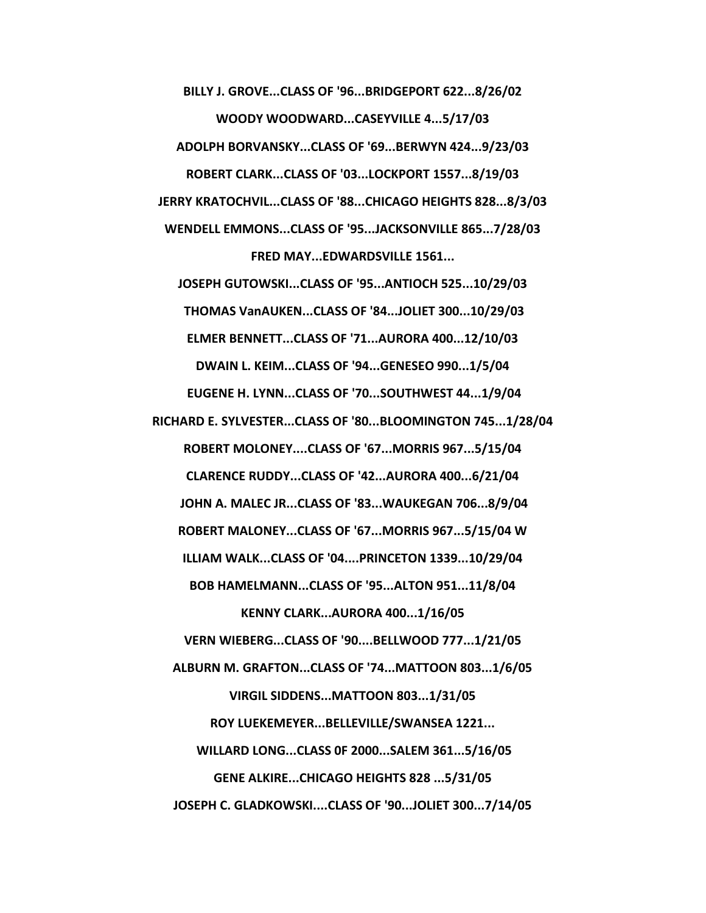**BILLY J. GROVE...CLASS OF '96...BRIDGEPORT 622...8/26/02 WOODY WOODWARD...CASEYVILLE 4...5/17/03 ADOLPH BORVANSKY...CLASS OF '69...BERWYN 424...9/23/03 ROBERT CLARK...CLASS OF '03...LOCKPORT 1557...8/19/03 JERRY KRATOCHVIL...CLASS OF '88...CHICAGO HEIGHTS 828...8/3/03 WENDELL EMMONS...CLASS OF '95...JACKSONVILLE 865...7/28/03 FRED MAY...EDWARDSVILLE 1561...** 

**JOSEPH GUTOWSKI...CLASS OF '95...ANTIOCH 525...10/29/03 THOMAS VanAUKEN...CLASS OF '84...JOLIET 300...10/29/03 ELMER BENNETT...CLASS OF '71...AURORA 400...12/10/03 DWAIN L. KEIM...CLASS OF '94...GENESEO 990...1/5/04 EUGENE H. LYNN...CLASS OF '70...SOUTHWEST 44...1/9/04** 

**RICHARD E. SYLVESTER...CLASS OF '80...BLOOMINGTON 745...1/28/04 ROBERT MOLONEY....CLASS OF '67...MORRIS 967...5/15/04 CLARENCE RUDDY...CLASS OF '42...AURORA 400...6/21/04 JOHN A. MALEC JR...CLASS OF '83...WAUKEGAN 706...8/9/04 ROBERT MALONEY...CLASS OF '67...MORRIS 967...5/15/04 W ILLIAM WALK...CLASS OF '04....PRINCETON 1339...10/29/04 BOB HAMELMANN...CLASS OF '95...ALTON 951...11/8/04** 

**KENNY CLARK...AURORA 400...1/16/05 VERN WIEBERG...CLASS OF '90....BELLWOOD 777...1/21/05 ALBURN M. GRAFTON...CLASS OF '74...MATTOON 803...1/6/05 VIRGIL SIDDENS...MATTOON 803...1/31/05 ROY LUEKEMEYER...BELLEVILLE/SWANSEA 1221... WILLARD LONG...CLASS 0F 2000...SALEM 361...5/16/05 GENE ALKIRE...CHICAGO HEIGHTS 828 ...5/31/05 JOSEPH C. GLADKOWSKI....CLASS OF '90...JOLIET 300...7/14/05**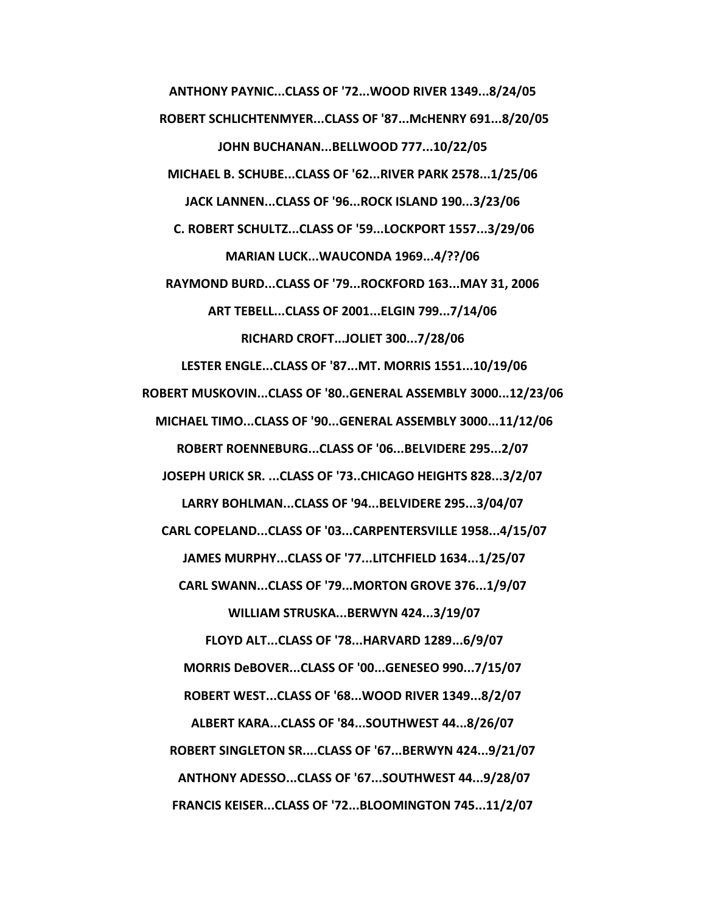**ANTHONY PAYNIC...CLASS OF '72...WOOD RIVER 1349...8/24/05 ROBERT SCHLICHTENMYER...CLASS OF '87...McHENRY 691...8/20/05 JOHN BUCHANAN...BELLWOOD 777...10/22/05 MICHAEL B. SCHUBE...CLASS OF '62...RIVER PARK 2578...1/25/06 JACK LANNEN...CLASS OF '96...ROCK ISLAND 190...3/23/06 C. ROBERT SCHULTZ...CLASS OF '59...LOCKPORT 1557...3/29/06 MARIAN LUCK...WAUCONDA 1969...4/??/06 RAYMOND BURD...CLASS OF '79...ROCKFORD 163...MAY 31, 2006 ART TEBELL...CLASS OF 2001...ELGIN 799...7/14/06 RICHARD CROFT...JOLIET 300...7/28/06 LESTER ENGLE...CLASS OF '87...MT. MORRIS 1551...10/19/06 ROBERT MUSKOVIN...CLASS OF '80..GENERAL ASSEMBLY 3000...12/23/06 MICHAEL TIMO...CLASS OF '90...GENERAL ASSEMBLY 3000...11/12/06 ROBERT ROENNEBURG...CLASS OF '06...BELVIDERE 295...2/07 JOSEPH URICK SR. ...CLASS OF '73..CHICAGO HEIGHTS 828...3/2/07 LARRY BOHLMAN...CLASS OF '94...BELVIDERE 295...3/04/07 CARL COPELAND...CLASS OF '03...CARPENTERSVILLE 1958...4/15/07 JAMES MURPHY...CLASS OF '77...LITCHFIELD 1634...1/25/07 CARL SWANN...CLASS OF '79...MORTON GROVE 376...1/9/07 WILLIAM STRUSKA...BERWYN 424...3/19/07 FLOYD ALT...CLASS OF '78...HARVARD 1289...6/9/07 MORRIS DeBOVER...CLASS OF '00...GENESEO 990...7/15/07 ROBERT WEST...CLASS OF '68...WOOD RIVER 1349...8/2/07 ALBERT KARA...CLASS OF '84...SOUTHWEST 44...8/26/07 ROBERT SINGLETON SR....CLASS OF '67...BERWYN 424...9/21/07 ANTHONY ADESSO...CLASS OF '67...SOUTHWEST 44...9/28/07 FRANCIS KEISER...CLASS OF '72...BLOOMINGTON 745...11/2/07**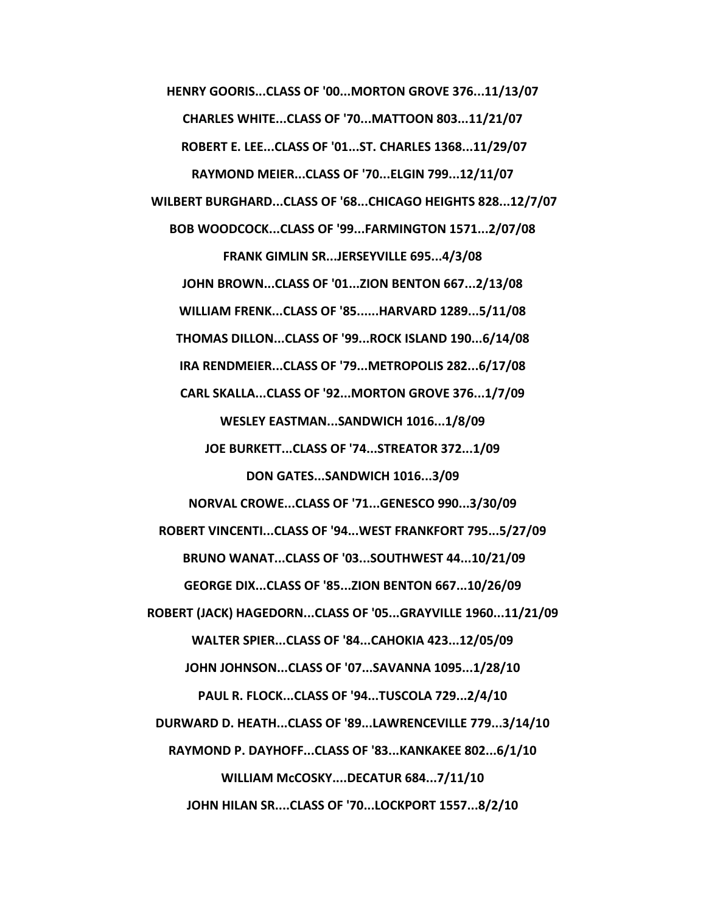**HENRY GOORIS...CLASS OF '00...MORTON GROVE 376...11/13/07 CHARLES WHITE...CLASS OF '70...MATTOON 803...11/21/07 ROBERT E. LEE...CLASS OF '01...ST. CHARLES 1368...11/29/07 RAYMOND MEIER...CLASS OF '70...ELGIN 799...12/11/07 WILBERT BURGHARD...CLASS OF '68...CHICAGO HEIGHTS 828...12/7/07 BOB WOODCOCK...CLASS OF '99...FARMINGTON 1571...2/07/08 FRANK GIMLIN SR...JERSEYVILLE 695...4/3/08 JOHN BROWN...CLASS OF '01...ZION BENTON 667...2/13/08 WILLIAM FRENK...CLASS OF '85......HARVARD 1289...5/11/08 THOMAS DILLON...CLASS OF '99...ROCK ISLAND 190...6/14/08 IRA RENDMEIER...CLASS OF '79...METROPOLIS 282...6/17/08 CARL SKALLA...CLASS OF '92...MORTON GROVE 376...1/7/09 WESLEY EASTMAN...SANDWICH 1016...1/8/09 JOE BURKETT...CLASS OF '74...STREATOR 372...1/09 DON GATES...SANDWICH 1016...3/09 NORVAL CROWE...CLASS OF '71...GENESCO 990...3/30/09 ROBERT VINCENTI...CLASS OF '94...WEST FRANKFORT 795...5/27/09 BRUNO WANAT...CLASS OF '03...SOUTHWEST 44...10/21/09 GEORGE DIX...CLASS OF '85...ZION BENTON 667...10/26/09 ROBERT (JACK) HAGEDORN...CLASS OF '05...GRAYVILLE 1960...11/21/09 WALTER SPIER...CLASS OF '84...CAHOKIA 423...12/05/09 JOHN JOHNSON...CLASS OF '07...SAVANNA 1095...1/28/10 PAUL R. FLOCK...CLASS OF '94...TUSCOLA 729...2/4/10 DURWARD D. HEATH...CLASS OF '89...LAWRENCEVILLE 779...3/14/10** 

**RAYMOND P. DAYHOFF...CLASS OF '83...KANKAKEE 802...6/1/10 WILLIAM McCOSKY....DECATUR 684...7/11/10 JOHN HILAN SR....CLASS OF '70...LOCKPORT 1557...8/2/10**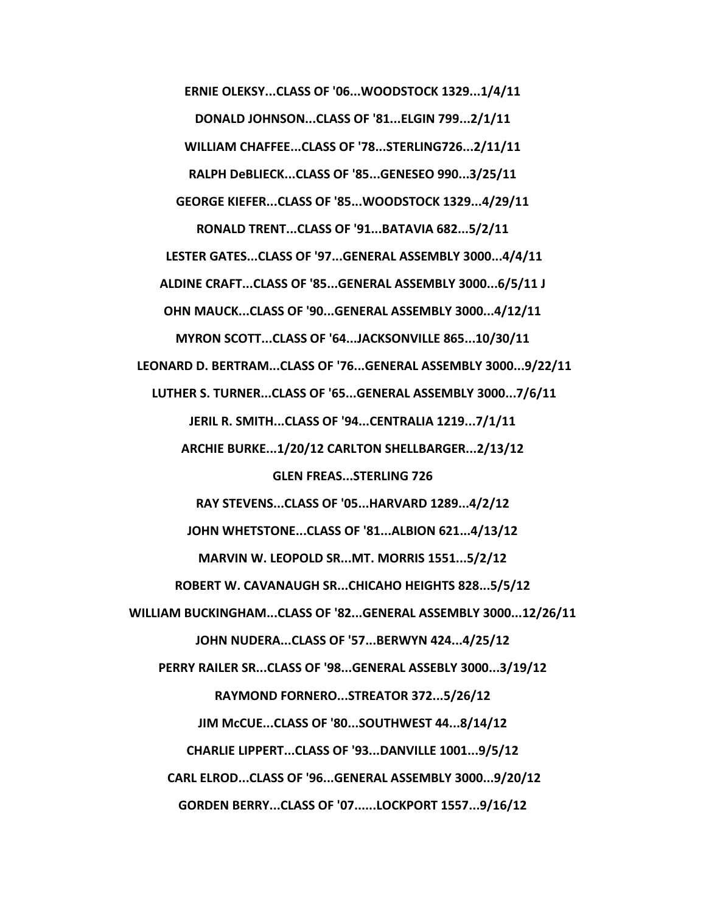**ERNIE OLEKSY...CLASS OF '06...WOODSTOCK 1329...1/4/11 DONALD JOHNSON...CLASS OF '81...ELGIN 799...2/1/11 WILLIAM CHAFFEE...CLASS OF '78...STERLING726...2/11/11 RALPH DeBLIECK...CLASS OF '85...GENESEO 990...3/25/11 GEORGE KIEFER...CLASS OF '85...WOODSTOCK 1329...4/29/11 RONALD TRENT...CLASS OF '91...BATAVIA 682...5/2/11 LESTER GATES...CLASS OF '97...GENERAL ASSEMBLY 3000...4/4/11 ALDINE CRAFT...CLASS OF '85...GENERAL ASSEMBLY 3000...6/5/11 J OHN MAUCK...CLASS OF '90...GENERAL ASSEMBLY 3000...4/12/11 MYRON SCOTT...CLASS OF '64...JACKSONVILLE 865...10/30/11 LEONARD D. BERTRAM...CLASS OF '76...GENERAL ASSEMBLY 3000...9/22/11 LUTHER S. TURNER...CLASS OF '65...GENERAL ASSEMBLY 3000...7/6/11 JERIL R. SMITH...CLASS OF '94...CENTRALIA 1219...7/1/11 ARCHIE BURKE...1/20/12 CARLTON SHELLBARGER...2/13/12 GLEN FREAS...STERLING 726 RAY STEVENS...CLASS OF '05...HARVARD 1289...4/2/12 JOHN WHETSTONE...CLASS OF '81...ALBION 621...4/13/12 MARVIN W. LEOPOLD SR...MT. MORRIS 1551...5/2/12 ROBERT W. CAVANAUGH SR...CHICAHO HEIGHTS 828...5/5/12 WILLIAM BUCKINGHAM...CLASS OF '82...GENERAL ASSEMBLY 3000...12/26/11 JOHN NUDERA...CLASS OF '57...BERWYN 424...4/25/12 PERRY RAILER SR...CLASS OF '98...GENERAL ASSEBLY 3000...3/19/12 RAYMOND FORNERO...STREATOR 372...5/26/12 JIM McCUE...CLASS OF '80...SOUTHWEST 44...8/14/12 CHARLIE LIPPERT...CLASS OF '93...DANVILLE 1001...9/5/12 CARL ELROD...CLASS OF '96...GENERAL ASSEMBLY 3000...9/20/12 GORDEN BERRY...CLASS OF '07......LOCKPORT 1557...9/16/12**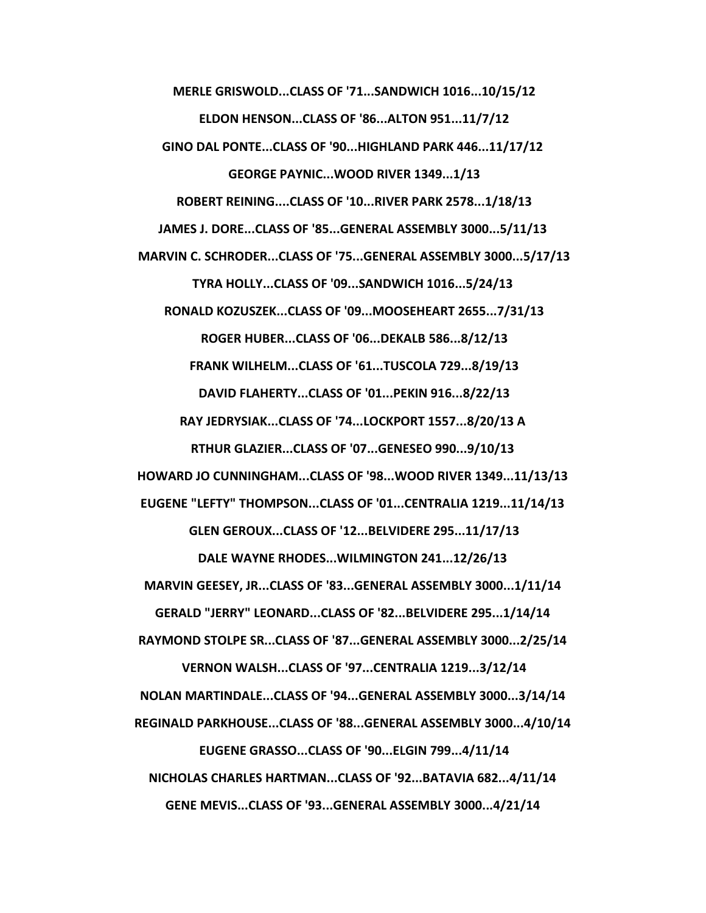**MERLE GRISWOLD...CLASS OF '71...SANDWICH 1016...10/15/12 ELDON HENSON...CLASS OF '86...ALTON 951...11/7/12 GINO DAL PONTE...CLASS OF '90...HIGHLAND PARK 446...11/17/12 GEORGE PAYNIC...WOOD RIVER 1349...1/13 ROBERT REINING....CLASS OF '10...RIVER PARK 2578...1/18/13 JAMES J. DORE...CLASS OF '85...GENERAL ASSEMBLY 3000...5/11/13 MARVIN C. SCHRODER...CLASS OF '75...GENERAL ASSEMBLY 3000...5/17/13 TYRA HOLLY...CLASS OF '09...SANDWICH 1016...5/24/13 RONALD KOZUSZEK...CLASS OF '09...MOOSEHEART 2655...7/31/13 ROGER HUBER...CLASS OF '06...DEKALB 586...8/12/13 FRANK WILHELM...CLASS OF '61...TUSCOLA 729...8/19/13 DAVID FLAHERTY...CLASS OF '01...PEKIN 916...8/22/13 RAY JEDRYSIAK...CLASS OF '74...LOCKPORT 1557...8/20/13 A RTHUR GLAZIER...CLASS OF '07...GENESEO 990...9/10/13 HOWARD JO CUNNINGHAM...CLASS OF '98...WOOD RIVER 1349...11/13/13 EUGENE "LEFTY" THOMPSON...CLASS OF '01...CENTRALIA 1219...11/14/13 GLEN GEROUX...CLASS OF '12...BELVIDERE 295...11/17/13 DALE WAYNE RHODES...WILMINGTON 241...12/26/13 MARVIN GEESEY, JR...CLASS OF '83...GENERAL ASSEMBLY 3000...1/11/14 GERALD "JERRY" LEONARD...CLASS OF '82...BELVIDERE 295...1/14/14 RAYMOND STOLPE SR...CLASS OF '87...GENERAL ASSEMBLY 3000...2/25/14 VERNON WALSH...CLASS OF '97...CENTRALIA 1219...3/12/14 NOLAN MARTINDALE...CLASS OF '94...GENERAL ASSEMBLY 3000...3/14/14 REGINALD PARKHOUSE...CLASS OF '88...GENERAL ASSEMBLY 3000...4/10/14 EUGENE GRASSO...CLASS OF '90...ELGIN 799...4/11/14 NICHOLAS CHARLES HARTMAN...CLASS OF '92...BATAVIA 682...4/11/14 GENE MEVIS...CLASS OF '93...GENERAL ASSEMBLY 3000...4/21/14**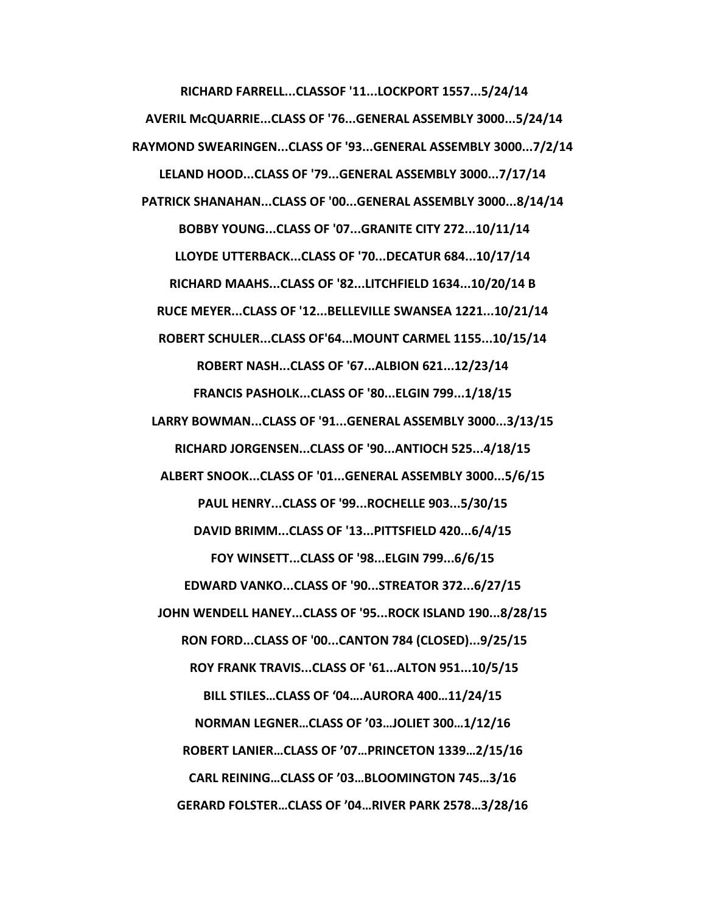**RICHARD FARRELL...CLASSOF '11...LOCKPORT 1557...5/24/14 AVERIL McQUARRIE...CLASS OF '76...GENERAL ASSEMBLY 3000...5/24/14 RAYMOND SWEARINGEN...CLASS OF '93...GENERAL ASSEMBLY 3000...7/2/14 LELAND HOOD...CLASS OF '79...GENERAL ASSEMBLY 3000...7/17/14 PATRICK SHANAHAN...CLASS OF '00...GENERAL ASSEMBLY 3000...8/14/14 BOBBY YOUNG...CLASS OF '07...GRANITE CITY 272...10/11/14 LLOYDE UTTERBACK...CLASS OF '70...DECATUR 684...10/17/14 RICHARD MAAHS...CLASS OF '82...LITCHFIELD 1634...10/20/14 B RUCE MEYER...CLASS OF '12...BELLEVILLE SWANSEA 1221...10/21/14 ROBERT SCHULER...CLASS OF'64...MOUNT CARMEL 1155...10/15/14 ROBERT NASH...CLASS OF '67...ALBION 621...12/23/14 FRANCIS PASHOLK...CLASS OF '80...ELGIN 799...1/18/15 LARRY BOWMAN...CLASS OF '91...GENERAL ASSEMBLY 3000...3/13/15 RICHARD JORGENSEN...CLASS OF '90...ANTIOCH 525...4/18/15 ALBERT SNOOK...CLASS OF '01...GENERAL ASSEMBLY 3000...5/6/15 PAUL HENRY...CLASS OF '99...ROCHELLE 903...5/30/15 DAVID BRIMM...CLASS OF '13...PITTSFIELD 420...6/4/15 FOY WINSETT...CLASS OF '98...ELGIN 799...6/6/15 EDWARD VANKO...CLASS OF '90...STREATOR 372...6/27/15 JOHN WENDELL HANEY...CLASS OF '95...ROCK ISLAND 190...8/28/15 RON FORD...CLASS OF '00...CANTON 784 (CLOSED)...9/25/15 ROY FRANK TRAVIS...CLASS OF '61...ALTON 951...10/5/15 BILL STILES…CLASS OF '04….AURORA 400…11/24/15 NORMAN LEGNER…CLASS OF '03…JOLIET 300…1/12/16 ROBERT LANIER…CLASS OF '07…PRINCETON 1339…2/15/16 CARL REINING…CLASS OF '03…BLOOMINGTON 745…3/16 GERARD FOLSTER…CLASS OF '04…RIVER PARK 2578…3/28/16**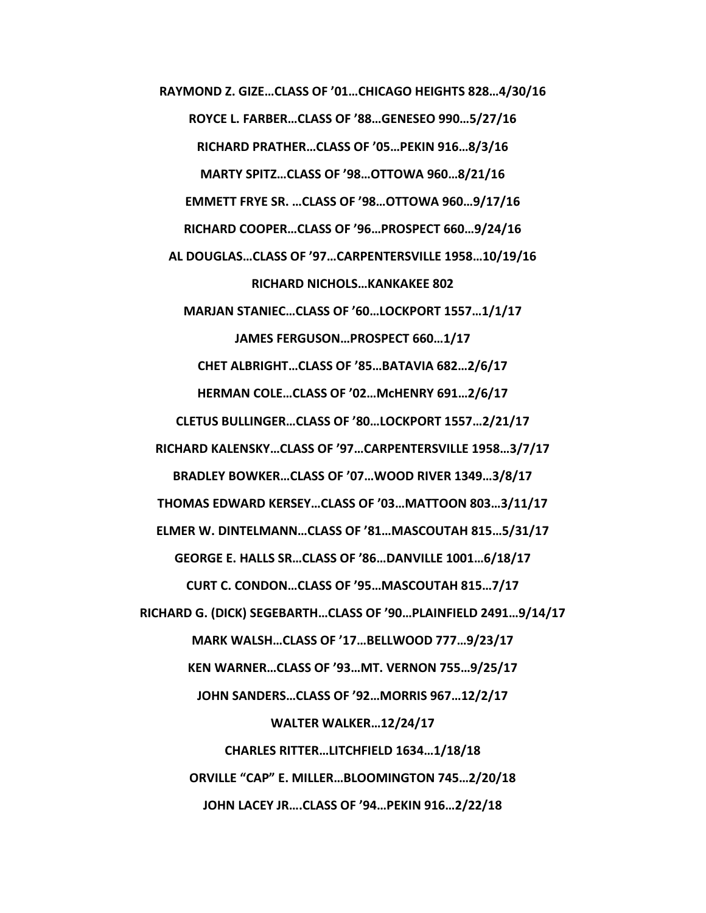**RAYMOND Z. GIZE…CLASS OF '01…CHICAGO HEIGHTS 828…4/30/16 ROYCE L. FARBER…CLASS OF '88…GENESEO 990…5/27/16 RICHARD PRATHER…CLASS OF '05…PEKIN 916…8/3/16 MARTY SPITZ…CLASS OF '98…OTTOWA 960…8/21/16 EMMETT FRYE SR. …CLASS OF '98…OTTOWA 960…9/17/16 RICHARD COOPER…CLASS OF '96…PROSPECT 660…9/24/16 AL DOUGLAS…CLASS OF '97…CARPENTERSVILLE 1958…10/19/16 RICHARD NICHOLS…KANKAKEE 802 MARJAN STANIEC…CLASS OF '60…LOCKPORT 1557…1/1/17 JAMES FERGUSON…PROSPECT 660…1/17 CHET ALBRIGHT…CLASS OF '85…BATAVIA 682…2/6/17 HERMAN COLE…CLASS OF '02…McHENRY 691…2/6/17 CLETUS BULLINGER…CLASS OF '80…LOCKPORT 1557…2/21/17 RICHARD KALENSKY…CLASS OF '97…CARPENTERSVILLE 1958…3/7/17 BRADLEY BOWKER…CLASS OF '07…WOOD RIVER 1349…3/8/17 THOMAS EDWARD KERSEY…CLASS OF '03…MATTOON 803…3/11/17 ELMER W. DINTELMANN…CLASS OF '81…MASCOUTAH 815…5/31/17 GEORGE E. HALLS SR…CLASS OF '86…DANVILLE 1001…6/18/17 CURT C. CONDON…CLASS OF '95…MASCOUTAH 815…7/17 RICHARD G. (DICK) SEGEBARTH…CLASS OF '90…PLAINFIELD 2491…9/14/17 MARK WALSH…CLASS OF '17…BELLWOOD 777…9/23/17 KEN WARNER…CLASS OF '93…MT. VERNON 755…9/25/17 JOHN SANDERS…CLASS OF '92…MORRIS 967…12/2/17 WALTER WALKER…12/24/17 CHARLES RITTER…LITCHFIELD 1634…1/18/18 ORVILLE "CAP" E. MILLER…BLOOMINGTON 745…2/20/18 JOHN LACEY JR….CLASS OF '94…PEKIN 916…2/22/18**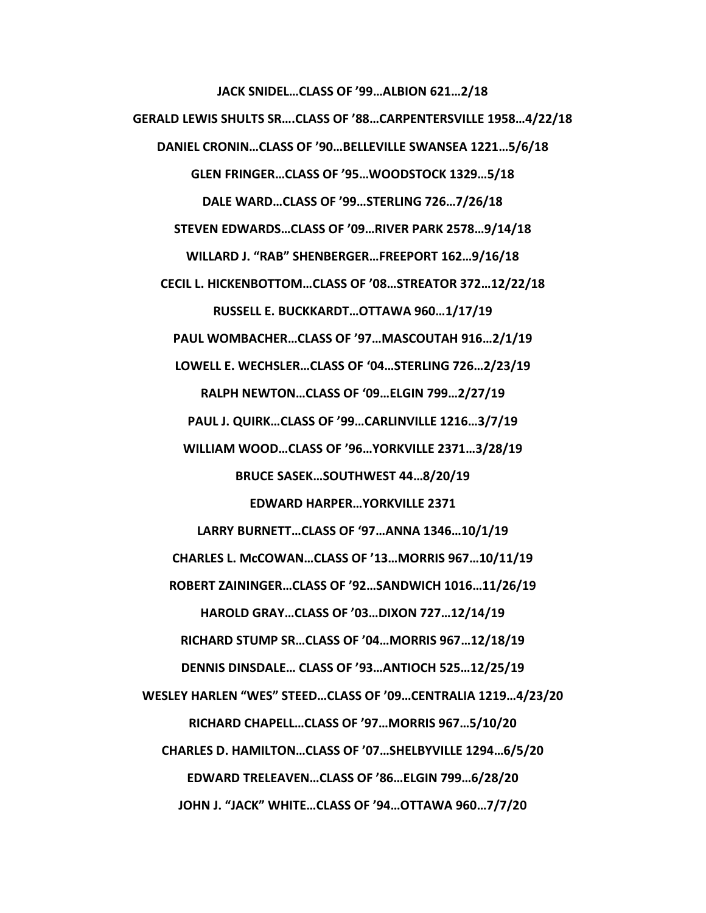**JACK SNIDEL…CLASS OF '99…ALBION 621…2/18 GERALD LEWIS SHULTS SR….CLASS OF '88…CARPENTERSVILLE 1958…4/22/18 DANIEL CRONIN…CLASS OF '90…BELLEVILLE SWANSEA 1221…5/6/18 GLEN FRINGER…CLASS OF '95…WOODSTOCK 1329…5/18 DALE WARD…CLASS OF '99…STERLING 726…7/26/18 STEVEN EDWARDS…CLASS OF '09…RIVER PARK 2578…9/14/18 WILLARD J. "RAB" SHENBERGER…FREEPORT 162…9/16/18 CECIL L. HICKENBOTTOM…CLASS OF '08…STREATOR 372…12/22/18 RUSSELL E. BUCKKARDT…OTTAWA 960…1/17/19 PAUL WOMBACHER…CLASS OF '97…MASCOUTAH 916…2/1/19 LOWELL E. WECHSLER…CLASS OF '04…STERLING 726…2/23/19 RALPH NEWTON…CLASS OF '09…ELGIN 799…2/27/19 PAUL J. QUIRK…CLASS OF '99…CARLINVILLE 1216…3/7/19 WILLIAM WOOD…CLASS OF '96…YORKVILLE 2371…3/28/19 BRUCE SASEK…SOUTHWEST 44…8/20/19 EDWARD HARPER…YORKVILLE 2371 LARRY BURNETT…CLASS OF '97…ANNA 1346…10/1/19 CHARLES L. McCOWAN…CLASS OF '13…MORRIS 967…10/11/19 ROBERT ZAININGER…CLASS OF '92…SANDWICH 1016…11/26/19 HAROLD GRAY…CLASS OF '03…DIXON 727…12/14/19 RICHARD STUMP SR…CLASS OF '04…MORRIS 967…12/18/19 DENNIS DINSDALE… CLASS OF '93…ANTIOCH 525…12/25/19 WESLEY HARLEN "WES" STEED…CLASS OF '09…CENTRALIA 1219…4/23/20 RICHARD CHAPELL…CLASS OF '97…MORRIS 967…5/10/20 CHARLES D. HAMILTON…CLASS OF '07…SHELBYVILLE 1294…6/5/20 EDWARD TRELEAVEN…CLASS OF '86…ELGIN 799…6/28/20 JOHN J. "JACK" WHITE…CLASS OF '94…OTTAWA 960…7/7/20**